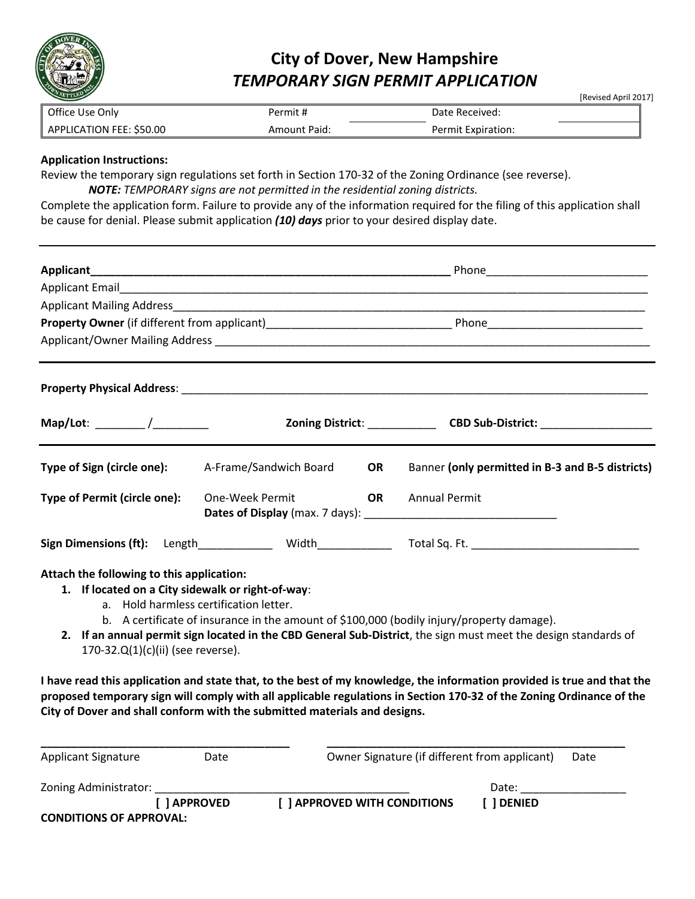

## **City of Dover, New Hampshire**  *TEMPORARY SIGN PERMIT APPLICATION*

[Revised April 2017]

| Office Use Only          | Permit #            | Date Received:     |
|--------------------------|---------------------|--------------------|
| APPLICATION FEE: \$50.00 | <b>Amount Paid:</b> | Permit Expiration: |

## **Application Instructions:**

Review the temporary sign regulations set forth in Section 170-32 of the Zoning Ordinance (see reverse). *NOTE: TEMPORARY signs are not permitted in the residential zoning districts.* 

Complete the application form. Failure to provide any of the information required for the filing of this application shall be cause for denial. Please submit application *(10) days* prior to your desired display date.

| Applicant_                                                                                                                          |                                        |           |                                                                                                                                                                                                                                                                                                                                         |  |
|-------------------------------------------------------------------------------------------------------------------------------------|----------------------------------------|-----------|-----------------------------------------------------------------------------------------------------------------------------------------------------------------------------------------------------------------------------------------------------------------------------------------------------------------------------------------|--|
|                                                                                                                                     |                                        |           |                                                                                                                                                                                                                                                                                                                                         |  |
|                                                                                                                                     |                                        |           |                                                                                                                                                                                                                                                                                                                                         |  |
|                                                                                                                                     |                                        |           |                                                                                                                                                                                                                                                                                                                                         |  |
|                                                                                                                                     |                                        |           |                                                                                                                                                                                                                                                                                                                                         |  |
|                                                                                                                                     |                                        |           |                                                                                                                                                                                                                                                                                                                                         |  |
|                                                                                                                                     |                                        |           | Zoning District: __________________CBD Sub-District: ___________________________                                                                                                                                                                                                                                                        |  |
| Type of Sign (circle one): A-Frame/Sandwich Board                                                                                   |                                        | <b>OR</b> | Banner (only permitted in B-3 and B-5 districts)                                                                                                                                                                                                                                                                                        |  |
| Type of Permit (circle one):                                                                                                        | One-Week Permit<br><b>Example 12</b>   |           | <b>Annual Permit</b>                                                                                                                                                                                                                                                                                                                    |  |
|                                                                                                                                     |                                        |           | Sign Dimensions (ft): Length_____________ Width_____________ Total Sq. Ft. _________________________                                                                                                                                                                                                                                    |  |
| Attach the following to this application:<br>1. If located on a City sidewalk or right-of-way:<br>170-32.Q(1)(c)(ii) (see reverse). | a. Hold harmless certification letter. |           | b. A certificate of insurance in the amount of \$100,000 (bodily injury/property damage).<br>2. If an annual permit sign located in the CBD General Sub-District, the sign must meet the design standards of<br>I have read this application and state that, to the best of my knowledge, the information provided is true and that the |  |
|                                                                                                                                     |                                        |           | proposed temporary sign will comply with all applicable regulations in Section 170-32 of the Zoning Ordinance of the                                                                                                                                                                                                                    |  |

| <b>Applicant Signature</b>     | Date         | Owner Signature (if different from applicant) |          | Date |
|--------------------------------|--------------|-----------------------------------------------|----------|------|
| Zoning Administrator:          |              |                                               | Date:    |      |
|                                | [ ] APPROVED | <b>I APPROVED WITH CONDITIONS</b>             | l DENIED |      |
| <b>CONDITIONS OF APPROVAL:</b> |              |                                               |          |      |

**City of Dover and shall conform with the submitted materials and designs.**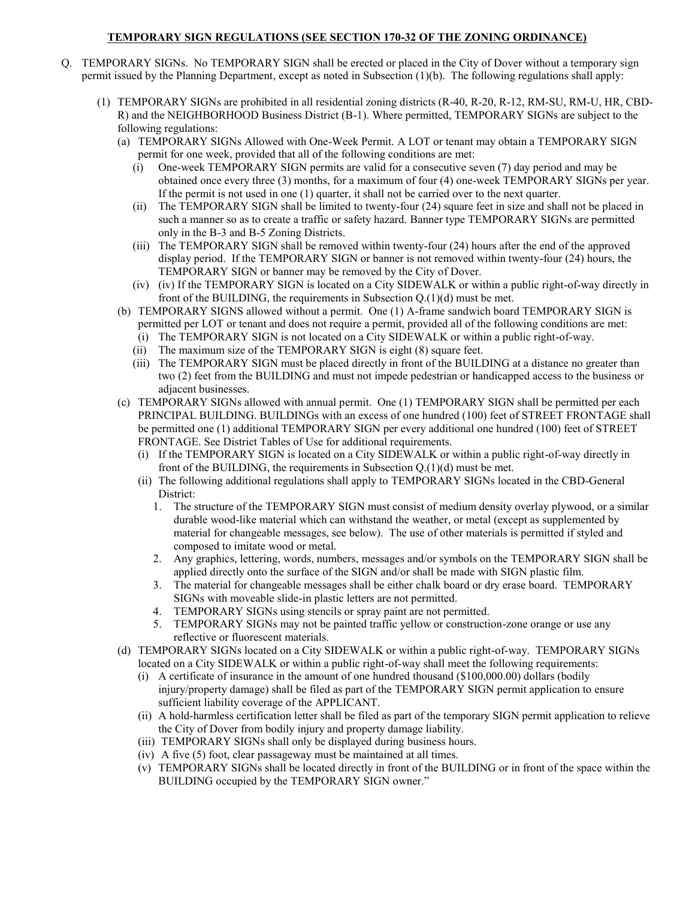## **TEMPORARY SIGN REGULATIONS (SEE SECTION 170-32 OF THE ZONING ORDINANCE)**

- Q. TEMPORARY SIGNs. No TEMPORARY SIGN shall be erected or placed in the City of Dover without a temporary sign permit issued by the Planning Department, except as noted in Subsection (1)(b). The following regulations shall apply:
	- (1) TEMPORARY SIGNs are prohibited in all residential zoning districts (R-40, R-20, R-12, RM-SU, RM-U, HR, CBD-R) and the NEIGHBORHOOD Business District (B-1). Where permitted, TEMPORARY SIGNs are subject to the following regulations:
		- (a) TEMPORARY SIGNs Allowed with One-Week Permit. A LOT or tenant may obtain a TEMPORARY SIGN permit for one week, provided that all of the following conditions are met:
			- (i) One-week TEMPORARY SIGN permits are valid for a consecutive seven (7) day period and may be obtained once every three (3) months, for a maximum of four (4) one-week TEMPORARY SIGNs per year. If the permit is not used in one (1) quarter, it shall not be carried over to the next quarter.
			- (ii) The TEMPORARY SIGN shall be limited to twenty-four (24) square feet in size and shall not be placed in such a manner so as to create a traffic or safety hazard. Banner type TEMPORARY SIGNs are permitted only in the B-3 and B-5 Zoning Districts.
			- (iii) The TEMPORARY SIGN shall be removed within twenty-four (24) hours after the end of the approved display period. If the TEMPORARY SIGN or banner is not removed within twenty-four (24) hours, the TEMPORARY SIGN or banner may be removed by the City of Dover.
			- (iv) (iv) If the TEMPORARY SIGN is located on a City SIDEWALK or within a public right-of-way directly in front of the BUILDING, the requirements in Subsection Q.(1)(d) must be met.
		- (b) TEMPORARY SIGNS allowed without a permit. One (1) A-frame sandwich board TEMPORARY SIGN is permitted per LOT or tenant and does not require a permit, provided all of the following conditions are met:
			- (i) The TEMPORARY SIGN is not located on a City SIDEWALK or within a public right-of-way.
			- (ii) The maximum size of the TEMPORARY SIGN is eight (8) square feet.
			- (iii) The TEMPORARY SIGN must be placed directly in front of the BUILDING at a distance no greater than two (2) feet from the BUILDING and must not impede pedestrian or handicapped access to the business or adjacent businesses.
		- (c) TEMPORARY SIGNs allowed with annual permit. One (1) TEMPORARY SIGN shall be permitted per each PRINCIPAL BUILDING. BUILDINGs with an excess of one hundred (100) feet of STREET FRONTAGE shall be permitted one (1) additional TEMPORARY SIGN per every additional one hundred (100) feet of STREET FRONTAGE. See District Tables of Use for additional requirements.
			- (i) If the TEMPORARY SIGN is located on a City SIDEWALK or within a public right-of-way directly in front of the BUILDING, the requirements in Subsection Q.(1)(d) must be met.
			- (ii) The following additional regulations shall apply to TEMPORARY SIGNs located in the CBD-General District:
				- 1. The structure of the TEMPORARY SIGN must consist of medium density overlay plywood, or a similar durable wood-like material which can withstand the weather, or metal (except as supplemented by material for changeable messages, see below). The use of other materials is permitted if styled and composed to imitate wood or metal.
				- 2. Any graphics, lettering, words, numbers, messages and/or symbols on the TEMPORARY SIGN shall be applied directly onto the surface of the SIGN and/or shall be made with SIGN plastic film.
				- 3. The material for changeable messages shall be either chalk board or dry erase board. TEMPORARY SIGNs with moveable slide-in plastic letters are not permitted.
				- 4. TEMPORARY SIGNs using stencils or spray paint are not permitted.
				- 5. TEMPORARY SIGNs may not be painted traffic yellow or construction-zone orange or use any reflective or fluorescent materials.
		- (d) TEMPORARY SIGNs located on a City SIDEWALK or within a public right-of-way. TEMPORARY SIGNs located on a City SIDEWALK or within a public right-of-way shall meet the following requirements:
			- (i) A certificate of insurance in the amount of one hundred thousand (\$100,000.00) dollars (bodily injury/property damage) shall be filed as part of the TEMPORARY SIGN permit application to ensure sufficient liability coverage of the APPLICANT.
			- (ii) A hold-harmless certification letter shall be filed as part of the temporary SIGN permit application to relieve the City of Dover from bodily injury and property damage liability.
			- (iii) TEMPORARY SIGNs shall only be displayed during business hours.
			- (iv) A five (5) foot, clear passageway must be maintained at all times.
			- (v) TEMPORARY SIGNs shall be located directly in front of the BUILDING or in front of the space within the BUILDING occupied by the TEMPORARY SIGN owner."